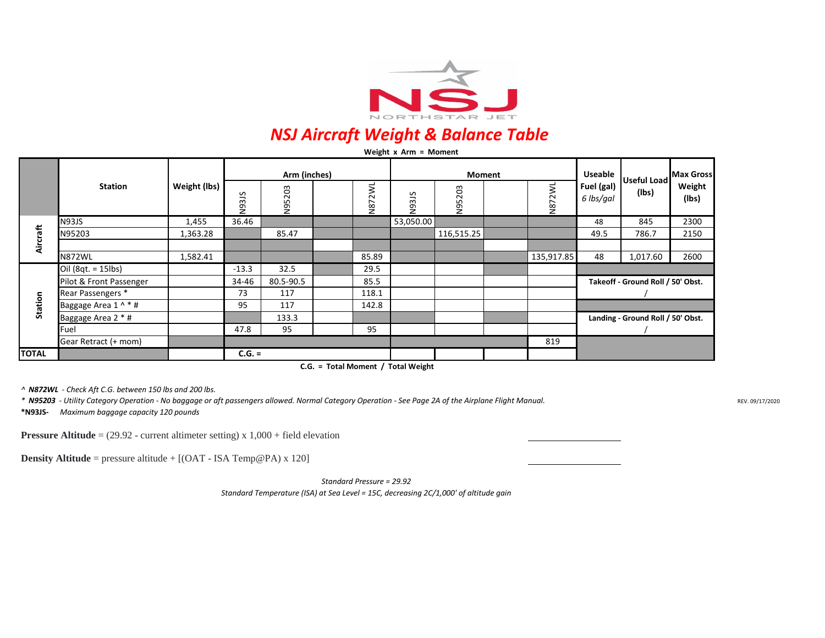

## *NSJ Aircraft Weight & Balance Table*

|              | Weight $x$ Arm = Moment |              |                       |                             |  |                           |               |            |  |            |                                   |                       |                 |
|--------------|-------------------------|--------------|-----------------------|-----------------------------|--|---------------------------|---------------|------------|--|------------|-----------------------------------|-----------------------|-----------------|
|              | <b>Station</b>          | Weight (lbs) | Arm (inches)          |                             |  |                           | <b>Moment</b> |            |  |            | <b>Useable</b>                    | Useful Load Max Gross |                 |
|              |                         |              | 315<br>$\overline{2}$ | 203<br>ïή<br>$\overline{5}$ |  | 2WL<br>∼<br>$\frac{8}{2}$ | N93JS         | N95203     |  | N872WL     | Fuel (gal)<br>6 lbs/gal           | (lbs)                 | Weight<br>(lbs) |
| Aircraft     | <b>N93JS</b>            | 1,455        | 36.46                 |                             |  |                           | 53,050.00     |            |  |            | 48                                | 845                   | 2300            |
|              | N95203                  | 1,363.28     |                       | 85.47                       |  |                           |               | 116,515.25 |  |            | 49.5                              | 786.7                 | 2150            |
|              |                         |              |                       |                             |  |                           |               |            |  |            |                                   |                       |                 |
|              | <b>N872WL</b>           | 1,582.41     |                       |                             |  | 85.89                     |               |            |  | 135,917.85 | 48                                | 1,017.60              | 2600            |
| Station      | Oil (8qt. = 15lbs)      |              | $-13.3$               | 32.5                        |  | 29.5                      |               |            |  |            |                                   |                       |                 |
|              | Pilot & Front Passenger |              | 34-46                 | 80.5-90.5                   |  | 85.5                      |               |            |  |            | Takeoff - Ground Roll / 50' Obst. |                       |                 |
|              | Rear Passengers *       |              | 73                    | 117                         |  | 118.1                     |               |            |  |            |                                   |                       |                 |
|              | Baggage Area 1 ^ * #    |              | 95                    | 117                         |  | 142.8                     |               |            |  |            |                                   |                       |                 |
|              | Baggage Area 2 * #      |              |                       | 133.3                       |  |                           |               |            |  |            | Landing - Ground Roll / 50' Obst. |                       |                 |
|              | Fuel                    |              | 47.8                  | 95                          |  | 95                        |               |            |  |            |                                   |                       |                 |
|              | Gear Retract (+ mom)    |              |                       |                             |  |                           |               |            |  | 819        |                                   |                       |                 |
| <b>TOTAL</b> |                         |              | $C.G. =$              |                             |  |                           |               |            |  |            |                                   |                       |                 |

**C.G. = Total Moment / Total Weight**

*^ N872WL - Check Aft C.G. between 150 lbs and 200 lbs.*

**\*N93JS-** *Maximum baggage capacity 120 pounds*

*\* N95203 - Utility Category Operation - No baggage or aft passengers allowed. Normal Category Operation - See Page 2A of the Airplane Flight Manual.*

REV. 09/17/2020

**Pressure Altitude** = (29.92 - current altimeter setting) x 1,000 + field elevation

**Density Altitude** = pressure altitude + [(OAT - ISA Temp@PA) x 120]

*Standard Pressure = 29.92 Standard Temperature (ISA) at Sea Level = 15C, decreasing 2C/1,000' of altitude gain*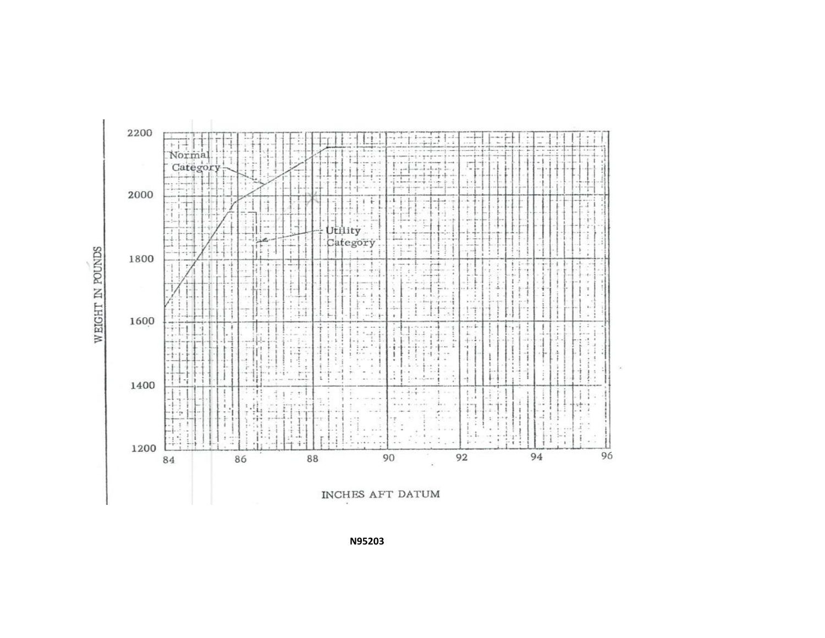WEIGHT IN POUNDS



INCHES AFT DATUM

**N95203**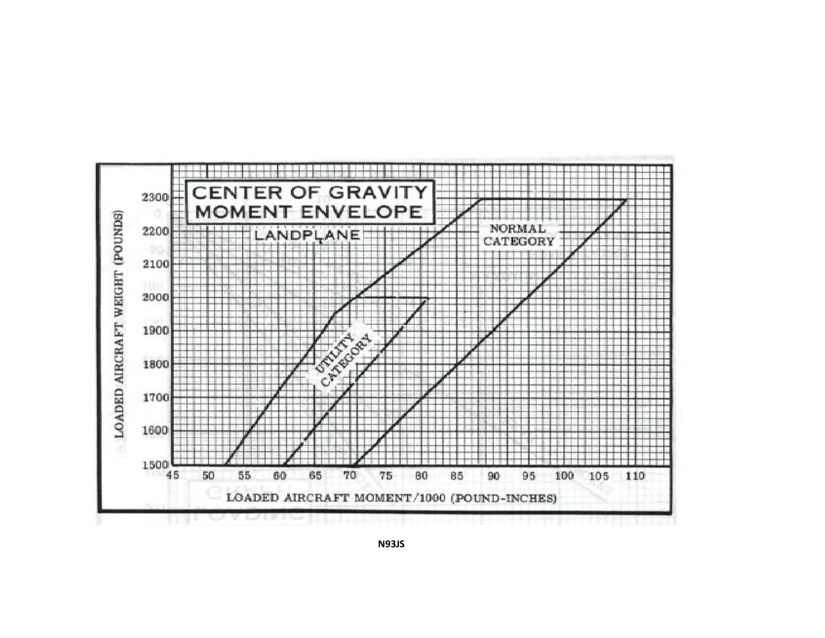

**N93JS**